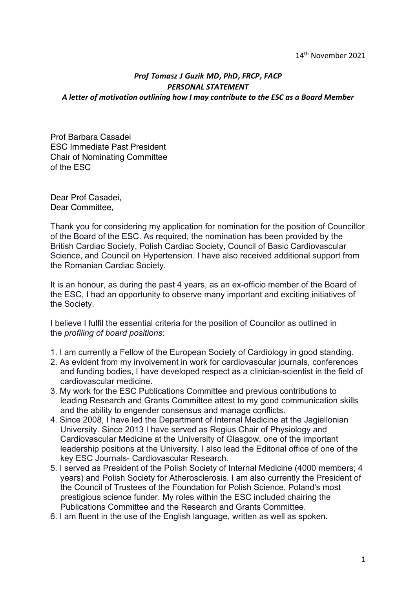## 14th November 2021

## *Prof Tomasz J Guzik MD***,** *PhD***,** *FRCP***,** *FACP PERSONAL STATEMENT A letter of motivation outlining how I may contribute to the ESC as a Board Member*

Prof Barbara Casadei ESC Immediate Past President Chair of Nominating Committee of the ESC

Dear Prof Casadei, Dear Committee,

Thank you for considering my application for nomination for the position of Councillor of the Board of the ESC. As required, the nomination has been provided by the British Cardiac Society, Polish Cardiac Society, Council of Basic Cardiovascular Science, and Council on Hypertension. I have also received additional support from the Romanian Cardiac Society.

It is an honour, as during the past 4 years, as an ex-officio member of the Board of the ESC, I had an opportunity to observe many important and exciting initiatives of the Society.

I believe I fulfil the essential criteria for the position of Councilor as outlined in the *profiling of board positions*:

- 1. I am currently a Fellow of the European Society of Cardiology in good standing.
- 2. As evident from my involvement in work for cardiovascular journals, conferences and funding bodies, I have developed respect as a clinician-scientist in the field of cardiovascular medicine.
- 3. My work for the ESC Publications Committee and previous contributions to leading Research and Grants Committee attest to my good communication skills and the ability to engender consensus and manage conflicts.
- 4. Since 2008, I have led the Department of Internal Medicine at the Jagiellonian University. Since 2013 I have served as Regius Chair of Physiology and Cardiovascular Medicine at the University of Glasgow, one of the important leadership positions at the University. I also lead the Editorial office of one of the key ESC Journals- Cardiovascular Research.
- 5. I served as President of the Polish Society of Internal Medicine (4000 members; 4 years) and Polish Society for Atherosclerosis. I am also currently the President of the Council of Trustees of the Foundation for Polish Science, Poland's most prestigious science funder. My roles within the ESC included chairing the Publications Committee and the Research and Grants Committee.
- 6. I am fluent in the use of the English language, written as well as spoken.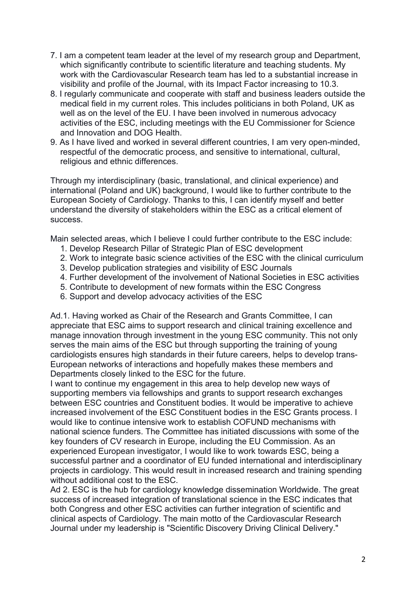- 7. I am a competent team leader at the level of my research group and Department, which significantly contribute to scientific literature and teaching students. My work with the Cardiovascular Research team has led to a substantial increase in visibility and profile of the Journal, with its Impact Factor increasing to 10.3.
- 8. I regularly communicate and cooperate with staff and business leaders outside the medical field in my current roles. This includes politicians in both Poland, UK as well as on the level of the EU. I have been involved in numerous advocacy activities of the ESC, including meetings with the EU Commissioner for Science and Innovation and DOG Health.
- 9. As I have lived and worked in several different countries, I am very open-minded, respectful of the democratic process, and sensitive to international, cultural, religious and ethnic differences.

Through my interdisciplinary (basic, translational, and clinical experience) and international (Poland and UK) background, I would like to further contribute to the European Society of Cardiology. Thanks to this, I can identify myself and better understand the diversity of stakeholders within the ESC as a critical element of success.

Main selected areas, which I believe I could further contribute to the ESC include:

- 1. Develop Research Pillar of Strategic Plan of ESC development
- 2. Work to integrate basic science activities of the ESC with the clinical curriculum
- 3. Develop publication strategies and visibility of ESC Journals
- 4. Further development of the involvement of National Societies in ESC activities
- 5. Contribute to development of new formats within the ESC Congress
- 6. Support and develop advocacy activities of the ESC

Ad.1. Having worked as Chair of the Research and Grants Committee, I can appreciate that ESC aims to support research and clinical training excellence and manage innovation through investment in the young ESC community. This not only serves the main aims of the ESC but through supporting the training of young cardiologists ensures high standards in their future careers, helps to develop trans-European networks of interactions and hopefully makes these members and Departments closely linked to the ESC for the future.

I want to continue my engagement in this area to help develop new ways of supporting members via fellowships and grants to support research exchanges between ESC countries and Constituent bodies. It would be imperative to achieve increased involvement of the ESC Constituent bodies in the ESC Grants process. I would like to continue intensive work to establish COFUND mechanisms with national science funders. The Committee has initiated discussions with some of the key founders of CV research in Europe, including the EU Commission. As an experienced European investigator, I would like to work towards ESC, being a successful partner and a coordinator of EU funded international and interdisciplinary projects in cardiology. This would result in increased research and training spending without additional cost to the ESC.

Ad 2. ESC is the hub for cardiology knowledge dissemination Worldwide. The great success of increased integration of translational science in the ESC indicates that both Congress and other ESC activities can further integration of scientific and clinical aspects of Cardiology. The main motto of the Cardiovascular Research Journal under my leadership is "Scientific Discovery Driving Clinical Delivery."